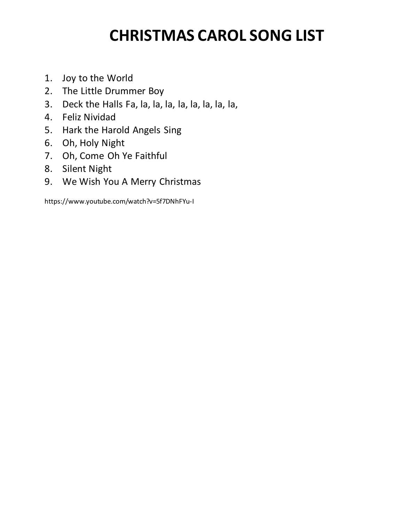#### **CHRISTMAS CAROL SONG LIST**

- 1. Joy to the World
- 2. The Little Drummer Boy
- 3. Deck the Halls Fa, la, la, la, la, la, la, la, la,
- 4. Feliz Nividad
- 5. Hark the Harold Angels Sing
- 6. Oh, Holy Night
- 7. Oh, Come Oh Ye Faithful
- 8. Silent Night
- 9. We Wish You A Merry Christmas

https://www.youtube.com/watch?v=5f7DNhFYu-I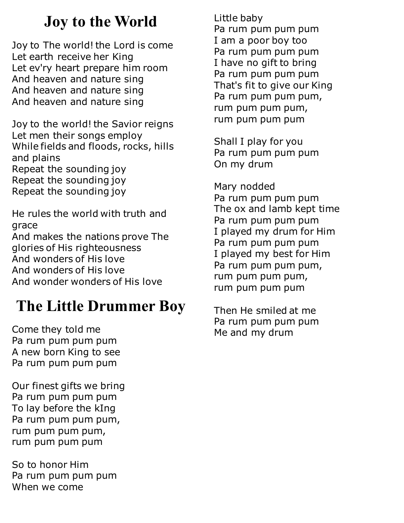#### **Joy to the World**

Joy to The world! the Lord is come Let earth receive her King Let ev'ry heart prepare him room And heaven and nature sing And heaven and nature sing And heaven and nature sing

Joy to the world! the Savior reigns Let men their songs employ While fields and floods, rocks, hills and plains Repeat the sounding joy Repeat the sounding joy Repeat the sounding joy

He rules the world with truth and grace And makes the nations prove The glories of His righteousness And wonders of His love And wonders of His love And wonder wonders of His love

## **The Little Drummer Boy**

Come they told me Pa rum pum pum pum A new born King to see Pa rum pum pum pum

Our finest gifts we bring Pa rum pum pum pum To lay before the kIng Pa rum pum pum pum, rum pum pum pum, rum pum pum pum

So to honor Him Pa rum pum pum pum When we come

Little baby Pa rum pum pum pum I am a poor boy too Pa rum pum pum pum I have no gift to bring Pa rum pum pum pum That's fit to give our King Pa rum pum pum pum, rum pum pum pum, rum pum pum pum

Shall I play for you Pa rum pum pum pum On my drum

Mary nodded Pa rum pum pum pum The ox and lamb kept time Pa rum pum pum pum I played my drum for Him Pa rum pum pum pum I played my best for Him Pa rum pum pum pum, rum pum pum, rum pum pum pum

Then He smiled at me Pa rum pum pum pum Me and my drum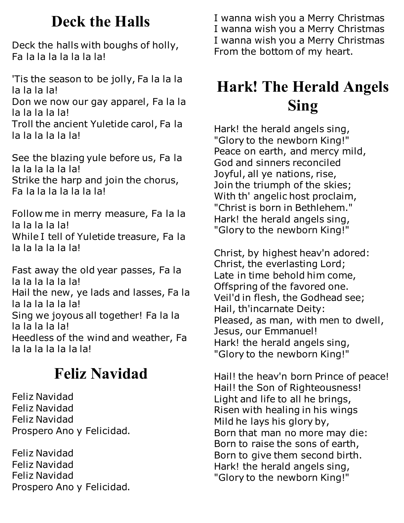#### **Deck the Halls**

Deck the halls with boughs of holly, Fa la la la la la la la!

'Tis the season to be jolly, Fa la la la la la la la! Don we now our gay apparel, Fa la la la la la la! Troll the ancient Yuletide carol, Fa la la la la la la la!

See the blazing yule before us, Fa la la la la la la la! Strike the harp and join the chorus, Fa la la la la la la la!

Follow me in merry measure, Fa la la la la la la! While I tell of Yuletide treasure, Fa la la la la la la la!

Fast away the old year passes, Fa la la la la la la la! Hail the new, ye lads and lasses, Fa la la la la la la! Sing we joyous all together! Fa la la la la la la! Heedless of the wind and weather, Fa la la la la la la la!

### **Feliz Navidad**

Feliz Navidad Feliz Navidad Feliz Navidad Prospero Ano y Felicidad.

Feliz Navidad Feliz Navidad Feliz Navidad Prospero Ano y Felicidad. I wanna wish you a Merry Christmas I wanna wish you a Merry Christmas I wanna wish you a Merry Christmas From the bottom of my heart.

#### **Hark! The Herald Angels Sing**

Hark! the herald angels sing, "Glory to the newborn King!" Peace on earth, and mercy mild, God and sinners reconciled Joyful, all ye nations, rise, Join the triumph of the skies; With th' angelic host proclaim, "Christ is born in Bethlehem." Hark! the herald angels sing, "Glory to the newborn King!"

Christ, by highest heav'n adored: Christ, the everlasting Lord; Late in time behold him come, Offspring of the favored one. Veil'd in flesh, the Godhead see; Hail, th'incarnate Deity: Pleased, as man, with men to dwell, Jesus, our Emmanuel! Hark! the herald angels sing, "Glory to the newborn King!"

Hail! the heav'n born Prince of peace! Hail! the Son of Righteousness! Light and life to all he brings, Risen with healing in his wings Mild he lays his glory by, Born that man no more may die: Born to raise the sons of earth, Born to give them second birth. Hark! the herald angels sing, "Glory to the newborn King!"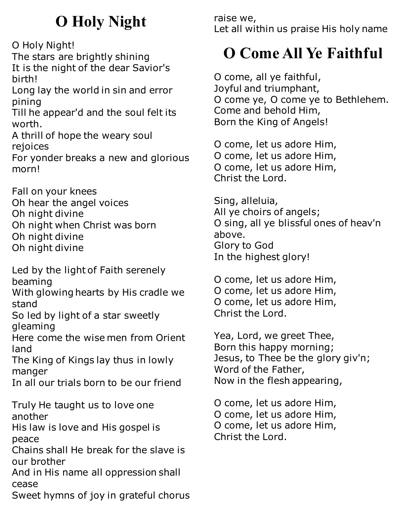## **O Holy Night**

O Holy Night!

The stars are brightly shining It is the night of the dear Savior's birth!

Long lay the world in sin and error pining

Till he appear'd and the soul felt its worth.

A thrill of hope the weary soul rejoices

For yonder breaks a new and glorious morn!

Fall on your knees Oh hear the angel voices Oh night divine Oh night when Christ was born Oh night divine Oh night divine

Led by the light of Faith serenely beaming

With glowing hearts by His cradle we stand

So led by light of a star sweetly gleaming

Here come the wise men from Orient land

The King of Kings lay thus in lowly manger

In all our trials born to be our friend

Truly He taught us to love one another

His law is love and His gospel is peace

Chains shall He break for the slave is our brother

And in His name all oppression shall cease

Sweet hymns of joy in grateful chorus

raise we, Let all within us praise His holy name

# **O Come All Ye Faithful**

O come, all ye faithful, Joyful and triumphant, O come ye, O come ye to Bethlehem. Come and behold Him, Born the King of Angels!

O come, let us adore Him, O come, let us adore Him, O come, let us adore Him, Christ the Lord.

Sing, alleluia, All ye choirs of angels; O sing, all ye blissful ones of heav'n above. Glory to God In the highest glory!

O come, let us adore Him, O come, let us adore Him, O come, let us adore Him, Christ the Lord.

Yea, Lord, we greet Thee, Born this happy morning; Jesus, to Thee be the glory giv'n; Word of the Father, Now in the flesh appearing,

O come, let us adore Him, O come, let us adore Him, O come, let us adore Him, Christ the Lord.